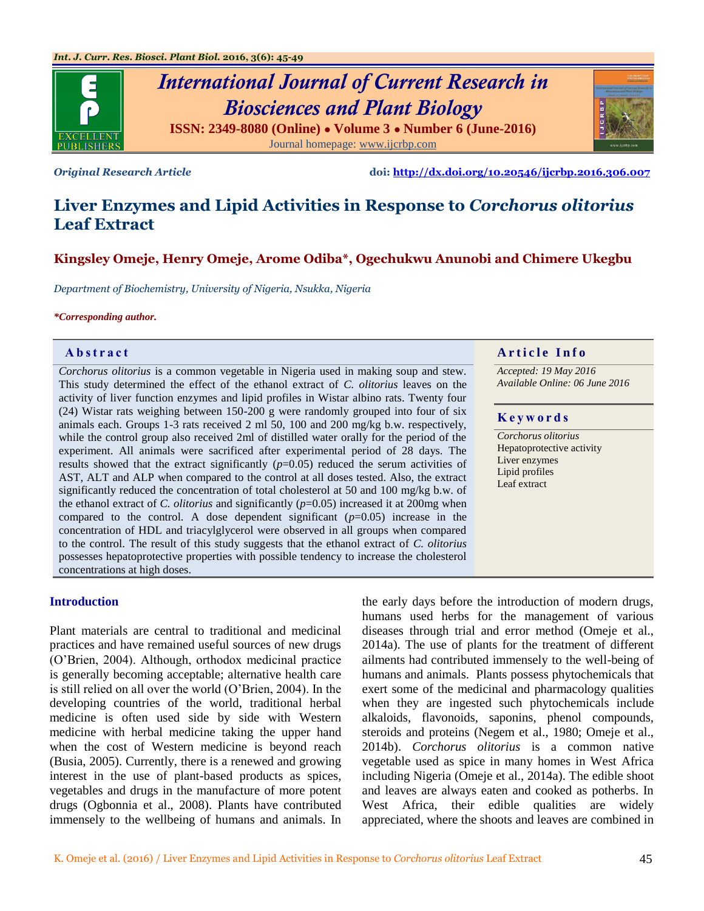

# *International Journal of Current Research in Biosciences and Plant Biology* **ISSN: 2349-8080 (Online) ● Volume 3 ● Number 6 (June-2016)**

Journal homepage: [www.ijcrbp.com](http://www.ijcrbp.com/)

*Original Research Article* **doi:<http://dx.doi.org/10.20546/ijcrbp.2016.306.007>**

## **Liver Enzymes and Lipid Activities in Response to** *Corchorus olitorius* **Leaf Extract**

### **Kingsley Omeje, Henry Omeje, Arome Odiba\*, Ogechukwu Anunobi and Chimere Ukegbu**

*Department of Biochemistry, University of Nigeria, Nsukka, Nigeria*

*\*Corresponding author.*

*Corchorus olitorius* is a common vegetable in Nigeria used in making soup and stew. This study determined the effect of the ethanol extract of *C. olitorius* leaves on the activity of liver function enzymes and lipid profiles in Wistar albino rats. Twenty four (24) Wistar rats weighing between 150-200 g were randomly grouped into four of six animals each. Groups 1-3 rats received 2 ml 50, 100 and 200 mg/kg b.w. respectively, while the control group also received 2ml of distilled water orally for the period of the experiment. All animals were sacrificed after experimental period of 28 days. The results showed that the extract significantly  $(p=0.05)$  reduced the serum activities of AST, ALT and ALP when compared to the control at all doses tested. Also, the extract significantly reduced the concentration of total cholesterol at 50 and 100 mg/kg b.w. of the ethanol extract of *C. olitorius* and significantly (*p*=0.05) increased it at 200mg when compared to the control. A dose dependent significant  $(p=0.05)$  increase in the concentration of HDL and triacylglycerol were observed in all groups when compared to the control. The result of this study suggests that the ethanol extract of *C. olitorius* possesses hepatoprotective properties with possible tendency to increase the cholesterol concentrations at high doses.

#### **Abstract A A** raticle **Info**

*Accepted: 19 May 2016 Available Online: 06 June 2016*

#### **K e y w o r d s**

*Corchorus olitorius* Hepatoprotective activity Liver enzymes Lipid profiles Leaf extract

#### **Introduction**

Plant materials are central to traditional and medicinal practices and have remained useful sources of new drugs (O'Brien, 2004). Although, orthodox medicinal practice is generally becoming acceptable; alternative health care is still relied on all over the world (O'Brien, 2004). In the developing countries of the world, traditional herbal medicine is often used side by side with Western medicine with herbal medicine taking the upper hand when the cost of Western medicine is beyond reach (Busia, 2005). Currently, there is a renewed and growing interest in the use of plant-based products as spices, vegetables and drugs in the manufacture of more potent drugs (Ogbonnia et al., 2008). Plants have contributed immensely to the wellbeing of humans and animals. In

the early days before the introduction of modern drugs, humans used herbs for the management of various diseases through trial and error method (Omeje et al., 2014a). The use of plants for the treatment of different ailments had contributed immensely to the well-being of humans and animals. Plants possess phytochemicals that exert some of the medicinal and pharmacology qualities when they are ingested such phytochemicals include alkaloids, flavonoids, saponins, phenol compounds, steroids and proteins (Negem et al., 1980; Omeje et al., 2014b). *Corchorus olitorius* is a common native vegetable used as spice in many homes in West Africa including Nigeria (Omeje et al., 2014a). The edible shoot and leaves are always eaten and cooked as potherbs. In West Africa, their edible qualities are widely appreciated, where the shoots and leaves are combined in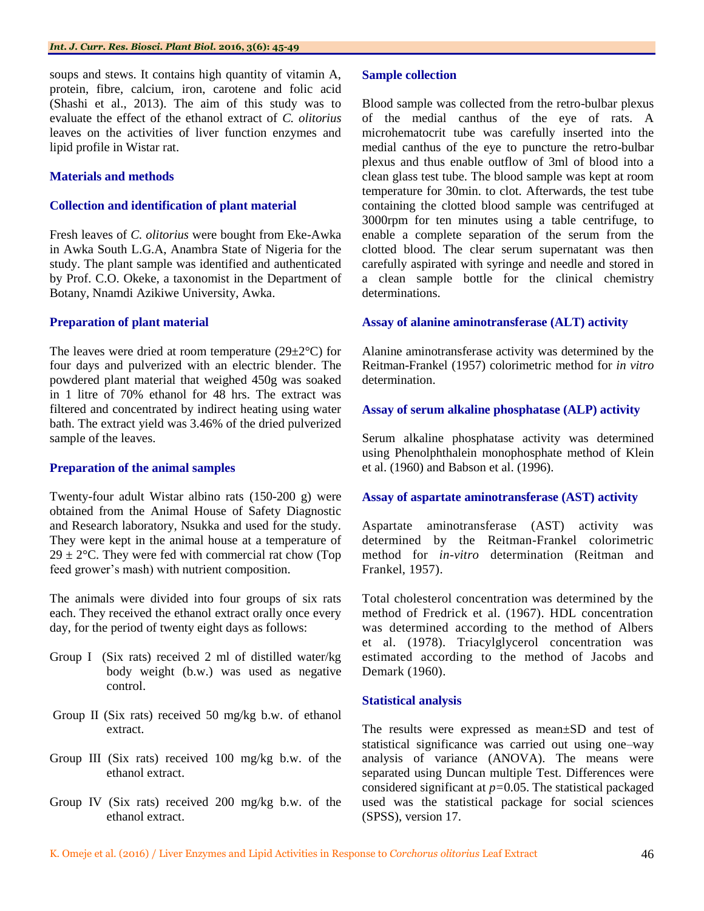soups and stews. It contains high quantity of vitamin A, protein, fibre, calcium, iron, carotene and folic acid (Shashi et al., 2013). The aim of this study was to evaluate the effect of the ethanol extract of *C. olitorius*  leaves on the activities of liver function enzymes and lipid profile in Wistar rat.

#### **Materials and methods**

#### **Collection and identification of plant material**

Fresh leaves of *C. olitorius* were bought from Eke-Awka in Awka South L.G.A, Anambra State of Nigeria for the study. The plant sample was identified and authenticated by Prof. C.O. Okeke, a taxonomist in the Department of Botany, Nnamdi Azikiwe University, Awka.

#### **Preparation of plant material**

The leaves were dried at room temperature  $(29\pm2\degree C)$  for four days and pulverized with an electric blender. The powdered plant material that weighed 450g was soaked in 1 litre of 70% ethanol for 48 hrs. The extract was filtered and concentrated by indirect heating using water bath. The extract yield was 3.46% of the dried pulverized sample of the leaves.

#### **Preparation of the animal samples**

Twenty-four adult Wistar albino rats (150-200 g) were obtained from the Animal House of Safety Diagnostic and Research laboratory, Nsukka and used for the study. They were kept in the animal house at a temperature of  $29 \pm 2$ °C. They were fed with commercial rat chow (Top) feed grower's mash) with nutrient composition.

The animals were divided into four groups of six rats each. They received the ethanol extract orally once every day, for the period of twenty eight days as follows:

- Group I (Six rats) received 2 ml of distilled water/kg body weight (b.w.) was used as negative control.
- Group II (Six rats) received 50 mg/kg b.w. of ethanol extract.
- Group III (Six rats) received 100 mg/kg b.w. of the ethanol extract.
- Group IV (Six rats) received 200 mg/kg b.w. of the ethanol extract.

#### **Sample collection**

Blood sample was collected from the retro-bulbar plexus of the medial canthus of the eye of rats. A microhematocrit tube was carefully inserted into the medial canthus of the eye to puncture the retro-bulbar plexus and thus enable outflow of 3ml of blood into a clean glass test tube. The blood sample was kept at room temperature for 30min. to clot. Afterwards, the test tube containing the clotted blood sample was centrifuged at 3000rpm for ten minutes using a table centrifuge, to enable a complete separation of the serum from the clotted blood. The clear serum supernatant was then carefully aspirated with syringe and needle and stored in a clean sample bottle for the clinical chemistry determinations.

#### **Assay of alanine aminotransferase (ALT) activity**

Alanine aminotransferase activity was determined by the Reitman-Frankel (1957) colorimetric method for *in vitro* determination.

#### **Assay of serum alkaline phosphatase (ALP) activity**

Serum alkaline phosphatase activity was determined using Phenolphthalein monophosphate method of Klein et al. (1960) and Babson et al. (1996).

#### **Assay of aspartate aminotransferase (AST) activity**

Aspartate aminotransferase (AST) activity was determined by the Reitman-Frankel colorimetric method for *in-vitro* determination (Reitman and Frankel, 1957).

Total cholesterol concentration was determined by the method of Fredrick et al. (1967). HDL concentration was determined according to the method of Albers et al. (1978). Triacylglycerol concentration was estimated according to the method of Jacobs and Demark (1960).

#### **Statistical analysis**

The results were expressed as mean±SD and test of statistical significance was carried out using one–way analysis of variance (ANOVA). The means were separated using Duncan multiple Test. Differences were considered significant at *p=*0.05. The statistical packaged used was the statistical package for social sciences (SPSS), version 17.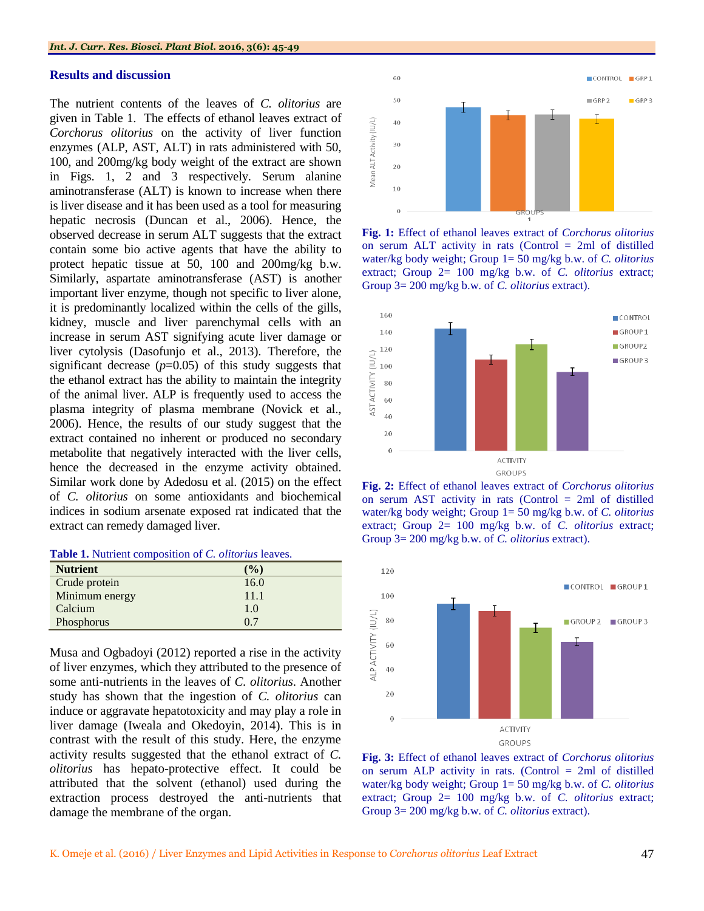#### **Results and discussion**

The nutrient contents of the leaves of *C. olitorius* are given in Table 1. The effects of ethanol leaves extract of *Corchorus olitorius* on the activity of liver function enzymes (ALP, AST, ALT) in rats administered with 50, 100, and 200mg/kg body weight of the extract are shown in Figs. 1, 2 and 3 respectively. Serum alanine aminotransferase (ALT) is known to increase when there is liver disease and it has been used as a tool for measuring hepatic necrosis (Duncan et al., 2006). Hence, the observed decrease in serum ALT suggests that the extract contain some bio active agents that have the ability to protect hepatic tissue at 50, 100 and 200mg/kg b.w. Similarly, aspartate aminotransferase (AST) is another important liver enzyme, though not specific to liver alone, it is predominantly localized within the cells of the gills, kidney, muscle and liver parenchymal cells with an increase in serum AST signifying acute liver damage or liver cytolysis (Dasofunjo et al., 2013). Therefore, the significant decrease  $(p=0.05)$  of this study suggests that the ethanol extract has the ability to maintain the integrity of the animal liver. ALP is frequently used to access the plasma integrity of plasma membrane (Novick et al., 2006). Hence, the results of our study suggest that the extract contained no inherent or produced no secondary metabolite that negatively interacted with the liver cells, hence the decreased in the enzyme activity obtained. Similar work done by Adedosu et al. (2015) on the effect of *C. olitorius* on some antioxidants and biochemical indices in sodium arsenate exposed rat indicated that the extract can remedy damaged liver.

| Table 1. Nutrient composition of C. olitorius leaves. |  |  |  |  |
|-------------------------------------------------------|--|--|--|--|
|-------------------------------------------------------|--|--|--|--|

| <b>Nutrient</b> | $($ %) |
|-----------------|--------|
| Crude protein   | 16.0   |
| Minimum energy  | 11.1   |
| Calcium         | 1.0    |
| Phosphorus      | 0.7    |

Musa and Ogbadoyi (2012) reported a rise in the activity of liver enzymes, which they attributed to the presence of some anti-nutrients in the leaves of *C. olitorius*. Another study has shown that the ingestion of *C. olitorius* can induce or aggravate hepatotoxicity and may play a role in liver damage (Iweala and Okedoyin, 2014). This is in contrast with the result of this study. Here, the enzyme activity results suggested that the ethanol extract of *C. olitorius* has hepato-protective effect. It could be attributed that the solvent (ethanol) used during the extraction process destroyed the anti-nutrients that damage the membrane of the organ.



**Fig. 1:** Effect of ethanol leaves extract of *Corchorus olitorius*  on serum ALT activity in rats (Control = 2ml of distilled water/kg body weight; Group 1= 50 mg/kg b.w. of *C. olitorius* extract; Group 2= 100 mg/kg b.w. of *C. olitorius* extract; Group 3= 200 mg/kg b.w. of *C. olitorius* extract).



**Fig. 2:** Effect of ethanol leaves extract of *Corchorus olitorius*  on serum AST activity in rats (Control = 2ml of distilled water/kg body weight; Group 1= 50 mg/kg b.w. of *C. olitorius* extract; Group 2= 100 mg/kg b.w. of *C. olitorius* extract; Group 3= 200 mg/kg b.w. of *C. olitorius* extract).



**Fig. 3:** Effect of ethanol leaves extract of *Corchorus olitorius* on serum ALP activity in rats. (Control = 2ml of distilled water/kg body weight; Group 1= 50 mg/kg b.w. of *C. olitorius* extract; Group 2= 100 mg/kg b.w. of *C. olitorius* extract; Group 3= 200 mg/kg b.w. of *C. olitorius* extract).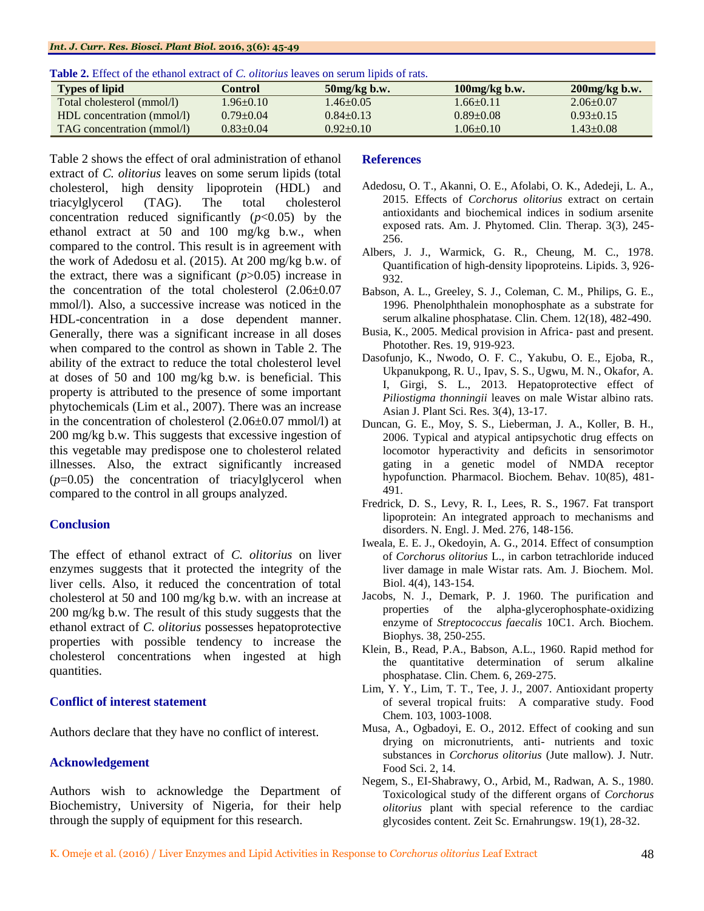#### *Int. J. Curr. Res. Biosci. Plant Biol.* **2016, 3(6): 45-49**

| <b>Types of lipid</b>      | Control         | $50mg/kg$ b.w.  | $100mg/kg$ b.w. | $200$ mg/kg b.w. |
|----------------------------|-----------------|-----------------|-----------------|------------------|
| Total cholesterol (mmol/l) | $1.96 \pm 0.10$ | $1.46 \pm 0.05$ | $66+0.11$       | $2.06 + 0.07$    |
| HDL concentration (mmol/l) | $0.79 \pm 0.04$ | $0.84 \pm 0.13$ | $0.89 + 0.08$   | $0.93+0.15$      |
| TAG concentration (mmol/l) | $0.83 \pm 0.04$ | $0.92+0.10$     | $0.06 \pm 0.10$ | $1.43 \pm 0.08$  |

Table 2 shows the effect of oral administration of ethanol extract of *C. olitorius* leaves on some serum lipids (total cholesterol, high density lipoprotein (HDL) and triacylglycerol (TAG). The total cholesterol concentration reduced significantly  $(p<0.05)$  by the ethanol extract at 50 and 100 mg/kg b.w., when compared to the control. This result is in agreement with the work of Adedosu et al. (2015). At 200 mg/kg b.w. of the extract, there was a significant  $(p>0.05)$  increase in the concentration of the total cholesterol (2.06±0.07 mmol/l). Also, a successive increase was noticed in the HDL-concentration in a dose dependent manner. Generally, there was a significant increase in all doses when compared to the control as shown in Table 2. The ability of the extract to reduce the total cholesterol level at doses of 50 and 100 mg/kg b.w. is beneficial. This property is attributed to the presence of some important phytochemicals (Lim et al., 2007). There was an increase in the concentration of cholesterol (2.06±0.07 mmol/l) at 200 mg/kg b.w. This suggests that excessive ingestion of this vegetable may predispose one to cholesterol related illnesses. Also, the extract significantly increased  $(p=0.05)$  the concentration of triacylglycerol when compared to the control in all groups analyzed.

#### **Conclusion**

The effect of ethanol extract of *C. olitorius* on liver enzymes suggests that it protected the integrity of the liver cells. Also, it reduced the concentration of total cholesterol at 50 and 100 mg/kg b.w. with an increase at 200 mg/kg b.w. The result of this study suggests that the ethanol extract of *C. olitorius* possesses hepatoprotective properties with possible tendency to increase the cholesterol concentrations when ingested at high quantities.

#### **Conflict of interest statement**

Authors declare that they have no conflict of interest.

#### **Acknowledgement**

Authors wish to acknowledge the Department of Biochemistry, University of Nigeria, for their help through the supply of equipment for this research.

#### **References**

- Adedosu, O. T., Akanni, O. E., Afolabi, O. K., Adedeji, L. A., 2015. Effects of *Corchorus olitorius* extract on certain antioxidants and biochemical indices in sodium arsenite exposed rats. Am. J. Phytomed. Clin. Therap. 3(3), 245- 256.
- Albers, J. J., Warmick, G. R., Cheung, M. C., 1978. Quantification of high-density lipoproteins. Lipids. 3, 926- 932.
- Babson, A. L., Greeley, S. J., Coleman, C. M., Philips, G. E., 1996. Phenolphthalein monophosphate as a substrate for serum alkaline phosphatase. Clin. Chem. 12(18), 482-490.
- Busia, K., 2005. Medical provision in Africa- past and present. Photother. Res. 19, 919-923.
- Dasofunjo, K., Nwodo, O. F. C., Yakubu, O. E., Ejoba, R., Ukpanukpong, R. U., Ipav, S. S., Ugwu, M. N., Okafor, A. I, Girgi, S. L., 2013. Hepatoprotective effect of *Piliostigma thonningii* leaves on male Wistar albino rats. Asian J. Plant Sci. Res. 3(4), 13-17.
- Duncan, G. E., Moy, S. S., Lieberman, J. A., Koller, B. H., 2006. Typical and atypical antipsychotic drug effects on locomotor hyperactivity and deficits in sensorimotor gating in a genetic model of NMDA receptor hypofunction. Pharmacol. Biochem. Behav. 10(85), 481- 491.
- Fredrick, D. S., Levy, R. I., Lees, R. S., 1967. Fat transport lipoprotein: An integrated approach to mechanisms and disorders. N. Engl. J. Med. 276, 148-156.
- Iweala, E. E. J., Okedoyin, A. G., 2014. Effect of consumption of *Corchorus olitorius* L., in carbon tetrachloride induced liver damage in male Wistar rats. Am. J. Biochem. Mol. Biol. 4(4), 143-154.
- Jacobs, N. J., Demark, P. J. 1960. The purification and properties of the alpha-glycerophosphate-oxidizing enzyme of *Streptococcus faecalis* 10C1. Arch. Biochem. Biophys. 38, 250-255.
- Klein, B., Read, P.A., Babson, A.L., 1960. Rapid method for the quantitative determination of serum alkaline phosphatase. Clin. Chem. 6, 269-275.
- Lim, Y. Y., Lim, T. T., Tee, J. J., 2007. Antioxidant property of several tropical fruits: A comparative study. Food Chem. 103, 1003-1008.
- Musa, A., Ogbadoyi, E. O., 2012. Effect of cooking and sun drying on micronutrients, anti- nutrients and toxic substances in *Corchorus olitorius* (Jute mallow). J. Nutr. Food Sci. 2, 14.
- Negem, S., EI-Shabrawy, O., Arbid, M., Radwan, A. S., 1980. Toxicological study of the different organs of *Corchorus olitorius* plant with special reference to the cardiac glycosides content. Zeit Sc. Ernahrungsw. 19(1), 28-32.